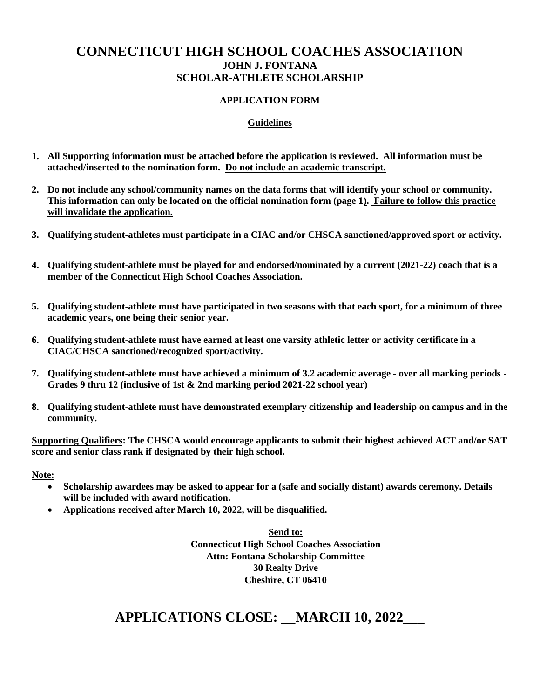### **CONNECTICUT HIGH SCHOOL COACHES ASSOCIATION JOHN J. FONTANA SCHOLAR-ATHLETE SCHOLARSHIP**

#### **APPLICATION FORM**

#### **Guidelines**

- **1. All Supporting information must be attached before the application is reviewed. All information must be attached/inserted to the nomination form. Do not include an academic transcript.**
- **2. Do not include any school/community names on the data forms that will identify your school or community. This information can only be located on the official nomination form (page 1). Failure to follow this practice will invalidate the application.**
- **3. Qualifying student-athletes must participate in a CIAC and/or CHSCA sanctioned/approved sport or activity.**
- **4. Qualifying student-athlete must be played for and endorsed/nominated by a current (2021-22) coach that is a member of the Connecticut High School Coaches Association.**
- **5. Qualifying student-athlete must have participated in two seasons with that each sport, for a minimum of three academic years, one being their senior year.**
- **6. Qualifying student-athlete must have earned at least one varsity athletic letter or activity certificate in a CIAC/CHSCA sanctioned/recognized sport/activity.**
- **7. Qualifying student-athlete must have achieved a minimum of 3.2 academic average - over all marking periods - Grades 9 thru 12 (inclusive of 1st & 2nd marking period 2021-22 school year)**
- **8. Qualifying student-athlete must have demonstrated exemplary citizenship and leadership on campus and in the community.**

**Supporting Qualifiers: The CHSCA would encourage applicants to submit their highest achieved ACT and/or SAT score and senior class rank if designated by their high school.**

#### **Note:**

- **Scholarship awardees may be asked to appear for a (safe and socially distant) awards ceremony. Details will be included with award notification.**
- **Applications received after March 10, 2022, will be disqualified.**

**Send to: Connecticut High School Coaches Association Attn: Fontana Scholarship Committee 30 Realty Drive Cheshire, CT 06410**

# **APPLICATIONS CLOSE: \_\_MARCH 10, 2022\_\_\_**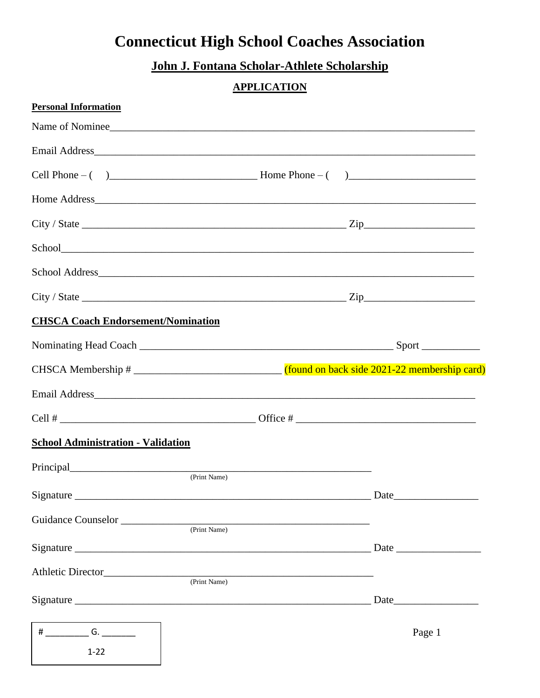# **Connecticut High School Coaches Association**

# John J. Fontana Scholar-Athlete Scholarship

### **APPLICATION**

| <b>Personal Information</b>               |                        |
|-------------------------------------------|------------------------|
|                                           | Name of Nominee        |
|                                           |                        |
|                                           |                        |
|                                           |                        |
|                                           |                        |
|                                           |                        |
|                                           |                        |
|                                           |                        |
| <b>CHSCA Coach Endorsement/Nomination</b> |                        |
|                                           |                        |
|                                           |                        |
|                                           |                        |
|                                           |                        |
| <b>School Administration - Validation</b> |                        |
| (Print Name)                              |                        |
| Signature                                 | Date                   |
| (Print Name)                              |                        |
|                                           | $\Gamma$ Date $\Gamma$ |
|                                           |                        |
| (Print Name)                              | Date                   |
|                                           |                        |
| # $\qquad \qquad$ G. $\qquad \qquad$      | Page 1                 |
| $1 - 22$                                  |                        |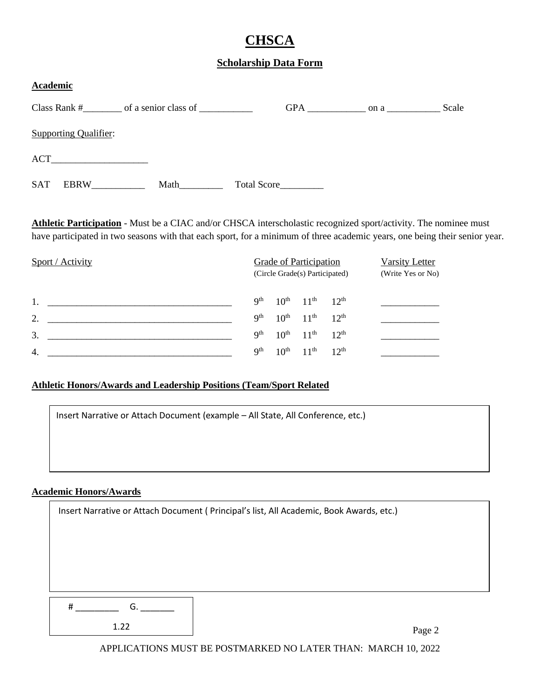# **CHSCA**

#### **Scholarship Data Form**

| <b>Academic</b> |                              |      |                    |     |      |       |
|-----------------|------------------------------|------|--------------------|-----|------|-------|
|                 | Class Rank #                 |      |                    | GPA | on a | Scale |
|                 | <b>Supporting Qualifier:</b> |      |                    |     |      |       |
|                 |                              |      |                    |     |      |       |
| <b>SAT</b>      | <b>EBRW</b>                  | Math | <b>Total Score</b> |     |      |       |

**Athletic Participation** - Must be a CIAC and/or CHSCA interscholastic recognized sport/activity. The nominee must have participated in two seasons with that each sport, for a minimum of three academic years, one being their senior year.

| Sport / Activity |                 | <b>Grade of Participation</b><br>(Circle Grade(s) Participated) | Varsity Letter<br>(Write Yes or No) |                  |  |
|------------------|-----------------|-----------------------------------------------------------------|-------------------------------------|------------------|--|
|                  | Qth             |                                                                 | $10^{th}$ $11^{th}$ $12^{th}$       |                  |  |
| 2.               | Q <sup>th</sup> |                                                                 | $10^{th}$ $11^{th}$ $12^{th}$       |                  |  |
| 3.               | <b>Qth</b>      |                                                                 | $10^{th}$ $11^{th}$ $12^{th}$       |                  |  |
| 4.               | Qth             | 10 <sup>th</sup>                                                | 11 <sup>th</sup>                    | 12 <sup>th</sup> |  |

#### **Athletic Honors/Awards and Leadership Positions (Team/Sport Related**

| Insert Narrative or Attach Document (example - All State, All Conference, etc.) |
|---------------------------------------------------------------------------------|
|                                                                                 |
|                                                                                 |
|                                                                                 |

#### **Academic Honors/Awards**

| Insert Narrative or Attach Document ( Principal's list, All Academic, Book Awards, etc.) |                |  |  |
|------------------------------------------------------------------------------------------|----------------|--|--|
|                                                                                          |                |  |  |
|                                                                                          |                |  |  |
|                                                                                          |                |  |  |
|                                                                                          |                |  |  |
|                                                                                          |                |  |  |
|                                                                                          | G.<br>#        |  |  |
|                                                                                          | 1.22<br>Page 2 |  |  |

APPLICATIONS MUST BE POSTMARKED NO LATER THAN: MARCH 10, 2022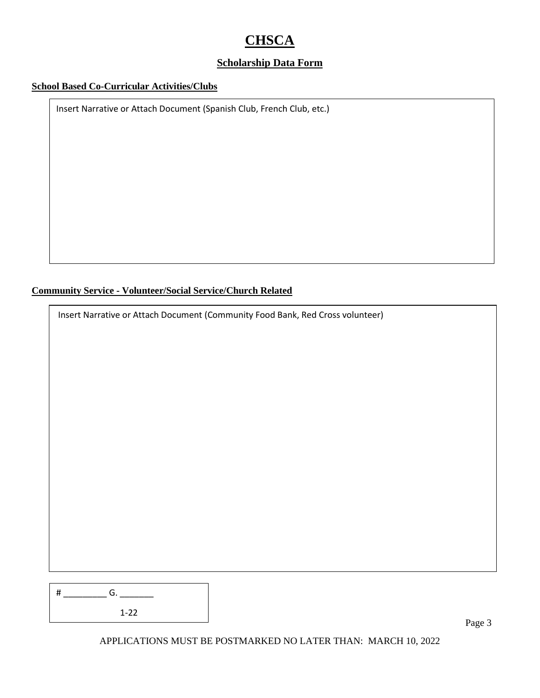# **CHSCA**

#### **Scholarship Data Form**

#### **School Based Co-Curricular Activities/Clubs**

Insert Narrative or Attach Document (Spanish Club, French Club, etc.)

**Community Service - Volunteer/Social Service/Church Related**

Insert Narrative or Attach Document (Community Food Bank, Red Cross volunteer)

| # | G.       |  |
|---|----------|--|
|   | $1 - 22$ |  |

Page 3

APPLICATIONS MUST BE POSTMARKED NO LATER THAN: MARCH 10, 2022